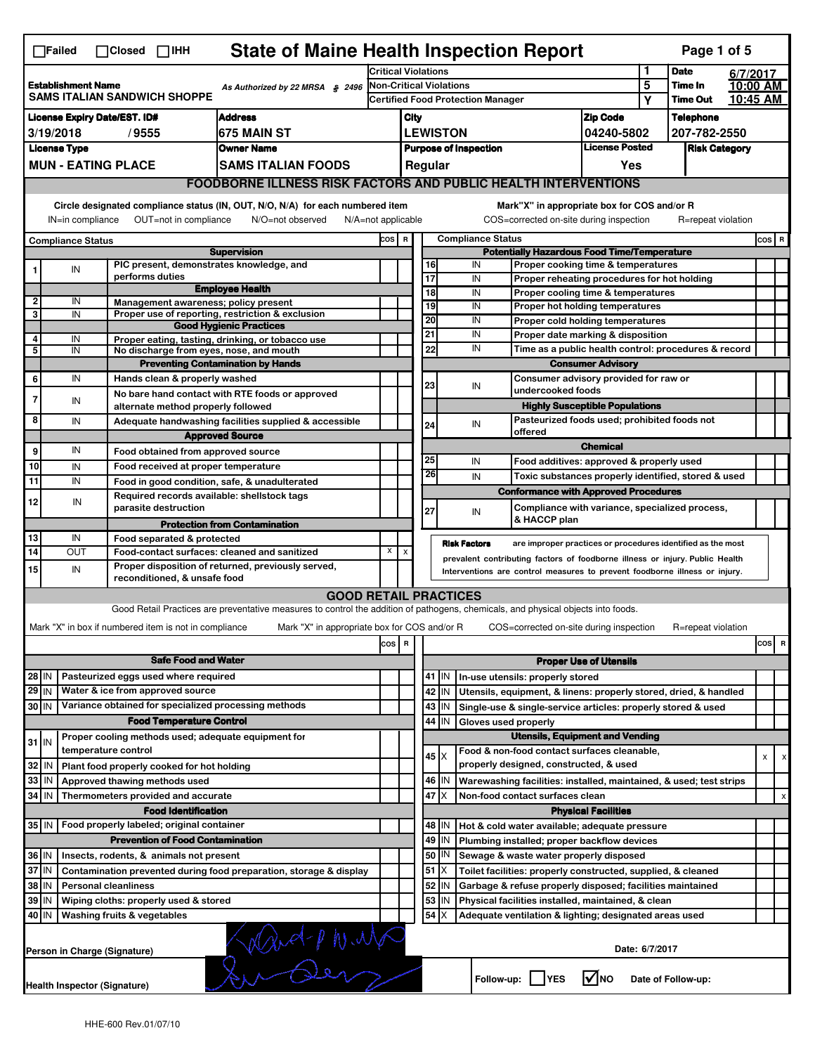|                                                                                                                                                                       | $\Box$ Failed                                                                                                                                                     | $\Box$ Closed $\Box$ IHH                                            | <b>State of Maine Health Inspection Report</b>                                  |                            |                                          |                 |                              |                          |                                                                                        |                               |                | Page 1 of 5                                                                                                                                  |          |         |                           |  |  |  |  |
|-----------------------------------------------------------------------------------------------------------------------------------------------------------------------|-------------------------------------------------------------------------------------------------------------------------------------------------------------------|---------------------------------------------------------------------|---------------------------------------------------------------------------------|----------------------------|------------------------------------------|-----------------|------------------------------|--------------------------|----------------------------------------------------------------------------------------|-------------------------------|----------------|----------------------------------------------------------------------------------------------------------------------------------------------|----------|---------|---------------------------|--|--|--|--|
|                                                                                                                                                                       |                                                                                                                                                                   |                                                                     |                                                                                 | <b>Critical Violations</b> |                                          |                 |                              |                          |                                                                                        |                               | 1              | <b>Date</b>                                                                                                                                  | 6/7/2017 |         |                           |  |  |  |  |
|                                                                                                                                                                       | <b>Establishment Name</b>                                                                                                                                         |                                                                     | As Authorized by 22 MRSA § 2496                                                 |                            |                                          |                 | Non-Critical Violations      |                          |                                                                                        |                               | 5              | Time In                                                                                                                                      | 10:00 AM |         |                           |  |  |  |  |
|                                                                                                                                                                       | <b>SAMS ITALIAN SANDWICH SHOPPE</b>                                                                                                                               |                                                                     |                                                                                 |                            | <b>Certified Food Protection Manager</b> |                 |                              |                          |                                                                                        |                               | Υ              | <b>Time Out</b>                                                                                                                              | 10:45 AM |         |                           |  |  |  |  |
| <b>License Expiry Date/EST. ID#</b><br><b>Address</b>                                                                                                                 |                                                                                                                                                                   |                                                                     |                                                                                 |                            | City                                     |                 |                              |                          |                                                                                        | <b>Zip Code</b>               |                | <b>Telephone</b>                                                                                                                             |          |         |                           |  |  |  |  |
|                                                                                                                                                                       | 3/19/2018                                                                                                                                                         | /9555                                                               | 675 MAIN ST                                                                     |                            |                                          |                 | <b>LEWISTON</b>              |                          |                                                                                        | 04240-5802                    |                | 207-782-2550                                                                                                                                 |          |         |                           |  |  |  |  |
|                                                                                                                                                                       | <b>License Type</b>                                                                                                                                               |                                                                     | <b>Owner Name</b>                                                               |                            |                                          |                 | <b>Purpose of Inspection</b> |                          |                                                                                        | <b>License Posted</b>         |                | <b>Risk Category</b>                                                                                                                         |          |         |                           |  |  |  |  |
| <b>MUN - EATING PLACE</b><br><b>SAMS ITALIAN FOODS</b>                                                                                                                |                                                                                                                                                                   |                                                                     |                                                                                 |                            |                                          | Regular         |                              |                          |                                                                                        | Yes                           |                |                                                                                                                                              |          |         |                           |  |  |  |  |
|                                                                                                                                                                       | <b>FOODBORNE ILLNESS RISK FACTORS AND PUBLIC HEALTH INTERVENTIONS</b>                                                                                             |                                                                     |                                                                                 |                            |                                          |                 |                              |                          |                                                                                        |                               |                |                                                                                                                                              |          |         |                           |  |  |  |  |
| Circle designated compliance status (IN, OUT, N/O, N/A) for each numbered item<br>OUT=not in compliance<br>IN=in compliance<br>N/O=not observed<br>N/A=not applicable |                                                                                                                                                                   |                                                                     |                                                                                 |                            |                                          |                 |                              |                          | Mark"X" in appropriate box for COS and/or R<br>COS=corrected on-site during inspection |                               |                | R=repeat violation                                                                                                                           |          |         |                           |  |  |  |  |
| <b>Compliance Status</b>                                                                                                                                              |                                                                                                                                                                   |                                                                     |                                                                                 | COS R                      |                                          |                 |                              | <b>Compliance Status</b> |                                                                                        |                               |                |                                                                                                                                              |          | $cos$ R |                           |  |  |  |  |
|                                                                                                                                                                       |                                                                                                                                                                   |                                                                     | <b>Supervision</b>                                                              |                            |                                          |                 |                              |                          | <b>Potentially Hazardous Food Time/Temperature</b>                                     |                               |                |                                                                                                                                              |          |         |                           |  |  |  |  |
|                                                                                                                                                                       | IN                                                                                                                                                                | PIC present, demonstrates knowledge, and                            |                                                                                 |                            |                                          | 16              |                              | IN                       | Proper cooking time & temperatures                                                     |                               |                |                                                                                                                                              |          |         |                           |  |  |  |  |
|                                                                                                                                                                       |                                                                                                                                                                   | performs duties                                                     |                                                                                 |                            |                                          | 17              |                              | IN                       | Proper reheating procedures for hot holding                                            |                               |                |                                                                                                                                              |          |         |                           |  |  |  |  |
| 2                                                                                                                                                                     | IN                                                                                                                                                                | Management awareness; policy present                                | <b>Employee Health</b>                                                          |                            |                                          | $\overline{18}$ |                              | IN                       | Proper cooling time & temperatures                                                     |                               |                |                                                                                                                                              |          |         |                           |  |  |  |  |
| 3                                                                                                                                                                     | IN                                                                                                                                                                |                                                                     | Proper use of reporting, restriction & exclusion                                |                            |                                          | 19              |                              | IN                       | Proper hot holding temperatures                                                        |                               |                |                                                                                                                                              |          |         |                           |  |  |  |  |
|                                                                                                                                                                       |                                                                                                                                                                   |                                                                     | <b>Good Hygienic Practices</b>                                                  |                            |                                          | 20<br>21        |                              | IN<br>IN                 | Proper cold holding temperatures                                                       |                               |                |                                                                                                                                              |          |         |                           |  |  |  |  |
| 4                                                                                                                                                                     | IN                                                                                                                                                                |                                                                     | Proper eating, tasting, drinking, or tobacco use                                |                            |                                          | 22              |                              | IN                       | Proper date marking & disposition                                                      |                               |                |                                                                                                                                              |          |         |                           |  |  |  |  |
| 5                                                                                                                                                                     | IN                                                                                                                                                                | No discharge from eyes, nose, and mouth                             |                                                                                 |                            |                                          |                 |                              |                          | Time as a public health control: procedures & record                                   |                               |                |                                                                                                                                              |          |         |                           |  |  |  |  |
|                                                                                                                                                                       | IN                                                                                                                                                                | Hands clean & properly washed                                       | <b>Preventing Contamination by Hands</b>                                        |                            |                                          |                 |                              |                          | Consumer advisory provided for raw or                                                  | <b>Consumer Advisory</b>      |                |                                                                                                                                              |          |         |                           |  |  |  |  |
| 6                                                                                                                                                                     |                                                                                                                                                                   |                                                                     |                                                                                 |                            |                                          | 23              |                              | IN                       | undercooked foods                                                                      |                               |                |                                                                                                                                              |          |         |                           |  |  |  |  |
| $\overline{7}$                                                                                                                                                        | IN                                                                                                                                                                | alternate method properly followed                                  | No bare hand contact with RTE foods or approved                                 |                            |                                          |                 |                              |                          | <b>Highly Susceptible Populations</b>                                                  |                               |                |                                                                                                                                              |          |         |                           |  |  |  |  |
| 8                                                                                                                                                                     | IN                                                                                                                                                                |                                                                     |                                                                                 |                            |                                          |                 |                              |                          | Pasteurized foods used; prohibited foods not                                           |                               |                |                                                                                                                                              |          |         |                           |  |  |  |  |
|                                                                                                                                                                       |                                                                                                                                                                   |                                                                     | Adequate handwashing facilities supplied & accessible<br><b>Approved Source</b> |                            |                                          | 24              |                              | IN                       | offered                                                                                |                               |                |                                                                                                                                              |          |         |                           |  |  |  |  |
| 9                                                                                                                                                                     | IN                                                                                                                                                                |                                                                     |                                                                                 |                            |                                          |                 |                              |                          |                                                                                        | <b>Chemical</b>               |                |                                                                                                                                              |          |         |                           |  |  |  |  |
|                                                                                                                                                                       |                                                                                                                                                                   | Food obtained from approved source                                  |                                                                                 |                            |                                          | 25              |                              | IN                       | Food additives: approved & properly used                                               |                               |                |                                                                                                                                              |          |         |                           |  |  |  |  |
| 10                                                                                                                                                                    | IN                                                                                                                                                                | Food received at proper temperature                                 |                                                                                 |                            |                                          | 26              |                              | IN                       | Toxic substances properly identified, stored & used                                    |                               |                |                                                                                                                                              |          |         |                           |  |  |  |  |
| 11                                                                                                                                                                    | IN                                                                                                                                                                |                                                                     | Food in good condition, safe, & unadulterated                                   |                            |                                          |                 |                              |                          | <b>Conformance with Approved Procedures</b>                                            |                               |                |                                                                                                                                              |          |         |                           |  |  |  |  |
| 12                                                                                                                                                                    | IN                                                                                                                                                                | Required records available: shellstock tags<br>parasite destruction |                                                                                 |                            |                                          | 27              |                              |                          | Compliance with variance, specialized process,                                         |                               |                |                                                                                                                                              |          |         |                           |  |  |  |  |
|                                                                                                                                                                       |                                                                                                                                                                   |                                                                     | <b>Protection from Contamination</b>                                            |                            |                                          |                 |                              | IN                       | & HACCP plan                                                                           |                               |                |                                                                                                                                              |          |         |                           |  |  |  |  |
| 13                                                                                                                                                                    | IN                                                                                                                                                                | Food separated & protected                                          |                                                                                 |                            |                                          |                 |                              |                          |                                                                                        |                               |                |                                                                                                                                              |          |         |                           |  |  |  |  |
| 14                                                                                                                                                                    | OUT                                                                                                                                                               |                                                                     | Food-contact surfaces: cleaned and sanitized                                    | x                          | X                                        |                 | <b>Risk Factors</b>          |                          | are improper practices or procedures identified as the most                            |                               |                |                                                                                                                                              |          |         |                           |  |  |  |  |
|                                                                                                                                                                       |                                                                                                                                                                   |                                                                     |                                                                                 |                            |                                          |                 |                              |                          | prevalent contributing factors of foodborne illness or injury. Public Health           |                               |                |                                                                                                                                              |          |         |                           |  |  |  |  |
|                                                                                                                                                                       |                                                                                                                                                                   | reconditioned, & unsafe food                                        |                                                                                 |                            |                                          |                 |                              |                          |                                                                                        |                               |                | Proper disposition of returned, previously served,<br>15<br>IN<br>Interventions are control measures to prevent foodborne illness or injury. |          |         |                           |  |  |  |  |
|                                                                                                                                                                       |                                                                                                                                                                   |                                                                     |                                                                                 |                            |                                          |                 |                              |                          |                                                                                        |                               |                |                                                                                                                                              |          |         |                           |  |  |  |  |
|                                                                                                                                                                       | <b>GOOD RETAIL PRACTICES</b><br>Good Retail Practices are preventative measures to control the addition of pathogens, chemicals, and physical objects into foods. |                                                                     |                                                                                 |                            |                                          |                 |                              |                          |                                                                                        |                               |                |                                                                                                                                              |          |         |                           |  |  |  |  |
|                                                                                                                                                                       |                                                                                                                                                                   |                                                                     |                                                                                 |                            |                                          |                 |                              |                          |                                                                                        |                               |                |                                                                                                                                              |          |         |                           |  |  |  |  |
|                                                                                                                                                                       |                                                                                                                                                                   | Mark "X" in box if numbered item is not in compliance               | Mark "X" in appropriate box for COS and/or R                                    |                            |                                          |                 |                              |                          | COS=corrected on-site during inspection                                                |                               |                | R=repeat violation                                                                                                                           |          |         |                           |  |  |  |  |
|                                                                                                                                                                       |                                                                                                                                                                   |                                                                     |                                                                                 |                            | R                                        |                 |                              |                          |                                                                                        |                               |                |                                                                                                                                              |          | cos     | R                         |  |  |  |  |
|                                                                                                                                                                       |                                                                                                                                                                   |                                                                     |                                                                                 | $\cos$                     |                                          |                 |                              |                          |                                                                                        |                               |                |                                                                                                                                              |          |         |                           |  |  |  |  |
|                                                                                                                                                                       |                                                                                                                                                                   | <b>Safe Food and Water</b>                                          |                                                                                 |                            |                                          |                 |                              |                          |                                                                                        | <b>Proper Use of Utensils</b> |                |                                                                                                                                              |          |         |                           |  |  |  |  |
| $28$ IN                                                                                                                                                               |                                                                                                                                                                   | Pasteurized eggs used where required                                |                                                                                 |                            |                                          |                 | $41$ M                       |                          | In-use utensils: properly stored                                                       |                               |                |                                                                                                                                              |          |         |                           |  |  |  |  |
| $29$ IN                                                                                                                                                               |                                                                                                                                                                   | Water & ice from approved source                                    |                                                                                 |                            |                                          |                 | 42 IN                        |                          | Utensils, equipment, & linens: properly stored, dried, & handled                       |                               |                |                                                                                                                                              |          |         |                           |  |  |  |  |
| 30 IN                                                                                                                                                                 |                                                                                                                                                                   | Variance obtained for specialized processing methods                |                                                                                 |                            |                                          |                 | $43$ IN                      |                          | Single-use & single-service articles: properly stored & used                           |                               |                |                                                                                                                                              |          |         |                           |  |  |  |  |
|                                                                                                                                                                       |                                                                                                                                                                   | <b>Food Temperature Control</b>                                     |                                                                                 |                            |                                          | 44              | I IN                         |                          | Gloves used properly                                                                   |                               |                |                                                                                                                                              |          |         |                           |  |  |  |  |
| $31$ IN                                                                                                                                                               |                                                                                                                                                                   | Proper cooling methods used; adequate equipment for                 |                                                                                 |                            |                                          |                 |                              |                          | <b>Utensils, Equipment and Vending</b>                                                 |                               |                |                                                                                                                                              |          |         |                           |  |  |  |  |
|                                                                                                                                                                       |                                                                                                                                                                   | temperature control                                                 |                                                                                 |                            |                                          |                 | $45 \times$                  |                          | Food & non-food contact surfaces cleanable,                                            |                               |                |                                                                                                                                              |          | X       |                           |  |  |  |  |
| 32                                                                                                                                                                    | IN                                                                                                                                                                | Plant food properly cooked for hot holding                          |                                                                                 |                            |                                          |                 |                              |                          | properly designed, constructed, & used                                                 |                               |                |                                                                                                                                              |          |         |                           |  |  |  |  |
| 33                                                                                                                                                                    | IN                                                                                                                                                                | Approved thawing methods used                                       |                                                                                 |                            |                                          |                 | 46   IN                      |                          | Warewashing facilities: installed, maintained, & used; test strips                     |                               |                |                                                                                                                                              |          |         |                           |  |  |  |  |
| 34                                                                                                                                                                    | IN                                                                                                                                                                | Thermometers provided and accurate                                  |                                                                                 |                            |                                          |                 | 47 I X                       |                          | Non-food contact surfaces clean                                                        |                               |                |                                                                                                                                              |          |         | $\boldsymbol{\mathsf{x}}$ |  |  |  |  |
|                                                                                                                                                                       |                                                                                                                                                                   | <b>Food Identification</b>                                          |                                                                                 |                            |                                          |                 |                              |                          |                                                                                        | <b>Physical Facilities</b>    |                |                                                                                                                                              |          |         |                           |  |  |  |  |
| 35 IN                                                                                                                                                                 |                                                                                                                                                                   | Food properly labeled; original container                           |                                                                                 |                            |                                          |                 | 48   IN                      |                          | Hot & cold water available; adequate pressure                                          |                               |                |                                                                                                                                              |          |         |                           |  |  |  |  |
|                                                                                                                                                                       |                                                                                                                                                                   | <b>Prevention of Food Contamination</b>                             |                                                                                 |                            |                                          |                 | $49$ IN                      |                          | Plumbing installed; proper backflow devices                                            |                               |                |                                                                                                                                              |          |         |                           |  |  |  |  |
| 36 IN                                                                                                                                                                 |                                                                                                                                                                   | Insects, rodents, & animals not present                             |                                                                                 |                            |                                          |                 | 50   IN                      |                          | Sewage & waste water properly disposed                                                 |                               |                |                                                                                                                                              |          |         |                           |  |  |  |  |
| 37 IN                                                                                                                                                                 |                                                                                                                                                                   |                                                                     | Contamination prevented during food preparation, storage & display              |                            |                                          |                 | $51$ $\times$                |                          | Toilet facilities: properly constructed, supplied, & cleaned                           |                               |                |                                                                                                                                              |          |         |                           |  |  |  |  |
| 38                                                                                                                                                                    | IN                                                                                                                                                                | <b>Personal cleanliness</b>                                         |                                                                                 |                            |                                          | 52              | IN                           |                          | Garbage & refuse properly disposed; facilities maintained                              |                               |                |                                                                                                                                              |          |         |                           |  |  |  |  |
| 39                                                                                                                                                                    | IN                                                                                                                                                                | Wiping cloths: properly used & stored                               |                                                                                 |                            |                                          |                 | 53 IN                        |                          | Physical facilities installed, maintained, & clean                                     |                               |                |                                                                                                                                              |          |         |                           |  |  |  |  |
| 40 IN                                                                                                                                                                 |                                                                                                                                                                   | Washing fruits & vegetables                                         |                                                                                 |                            |                                          |                 | $54$ $\times$                |                          | Adequate ventilation & lighting; designated areas used                                 |                               |                |                                                                                                                                              |          |         |                           |  |  |  |  |
|                                                                                                                                                                       | Person in Charge (Signature)                                                                                                                                      |                                                                     | Hind-Phink                                                                      |                            |                                          |                 |                              |                          |                                                                                        |                               | Date: 6/7/2017 |                                                                                                                                              |          |         |                           |  |  |  |  |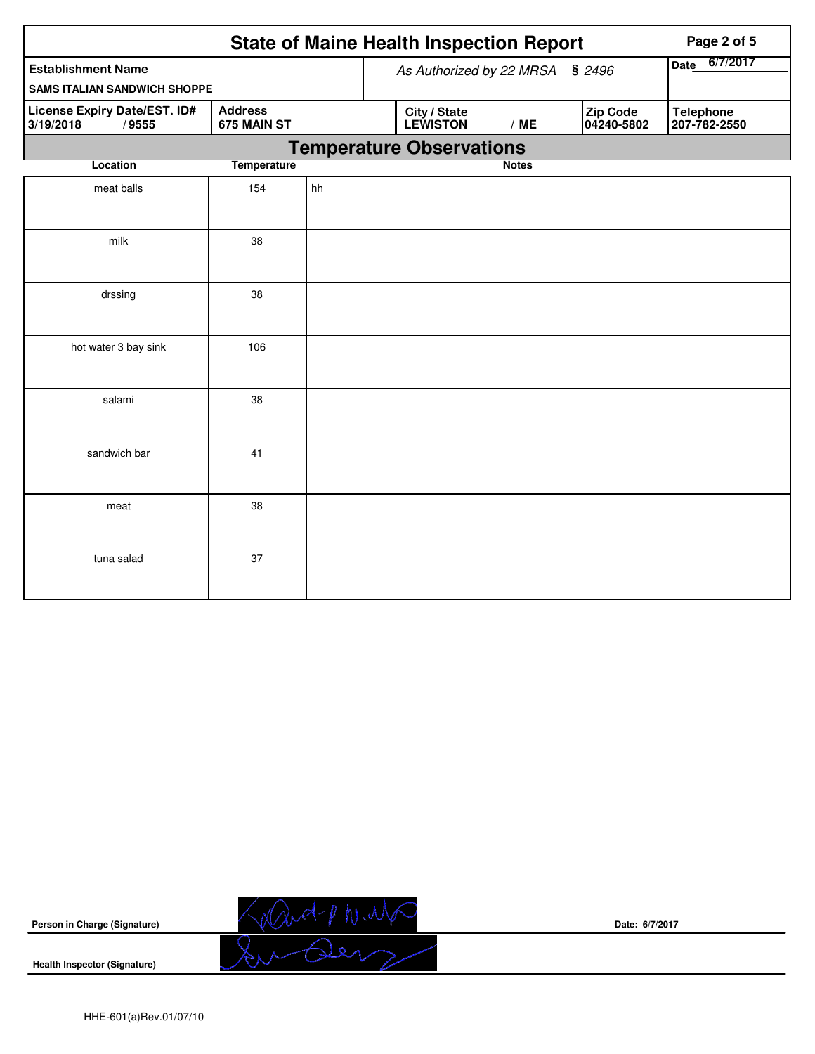|                                                                  |                               |                                 | <b>State of Maine Health Inspection Report</b> |              |                        | Page 2 of 5                      |  |  |  |  |
|------------------------------------------------------------------|-------------------------------|---------------------------------|------------------------------------------------|--------------|------------------------|----------------------------------|--|--|--|--|
| <b>Establishment Name</b><br><b>SAMS ITALIAN SANDWICH SHOPPE</b> |                               | As Authorized by 22 MRSA § 2496 | 6/7/2017<br>Date                               |              |                        |                                  |  |  |  |  |
| License Expiry Date/EST. ID#<br>3/19/2018<br>/9555               | <b>Address</b><br>675 MAIN ST |                                 | City / State<br><b>LEWISTON</b>                | /ME          | Zip Code<br>04240-5802 | <b>Telephone</b><br>207-782-2550 |  |  |  |  |
| <b>Temperature Observations</b>                                  |                               |                                 |                                                |              |                        |                                  |  |  |  |  |
| Location                                                         | <b>Temperature</b>            |                                 |                                                | <b>Notes</b> |                        |                                  |  |  |  |  |
| meat balls                                                       | 154                           | hh                              |                                                |              |                        |                                  |  |  |  |  |
| milk                                                             | 38                            |                                 |                                                |              |                        |                                  |  |  |  |  |
| drssing                                                          | 38                            |                                 |                                                |              |                        |                                  |  |  |  |  |
| hot water 3 bay sink                                             | 106                           |                                 |                                                |              |                        |                                  |  |  |  |  |
| salami                                                           | 38                            |                                 |                                                |              |                        |                                  |  |  |  |  |
| sandwich bar                                                     | 41                            |                                 |                                                |              |                        |                                  |  |  |  |  |
| meat                                                             | 38                            |                                 |                                                |              |                        |                                  |  |  |  |  |
| tuna salad                                                       | 37                            |                                 |                                                |              |                        |                                  |  |  |  |  |



**Date: 6/7/2017**

**Health Inspector (Signature)**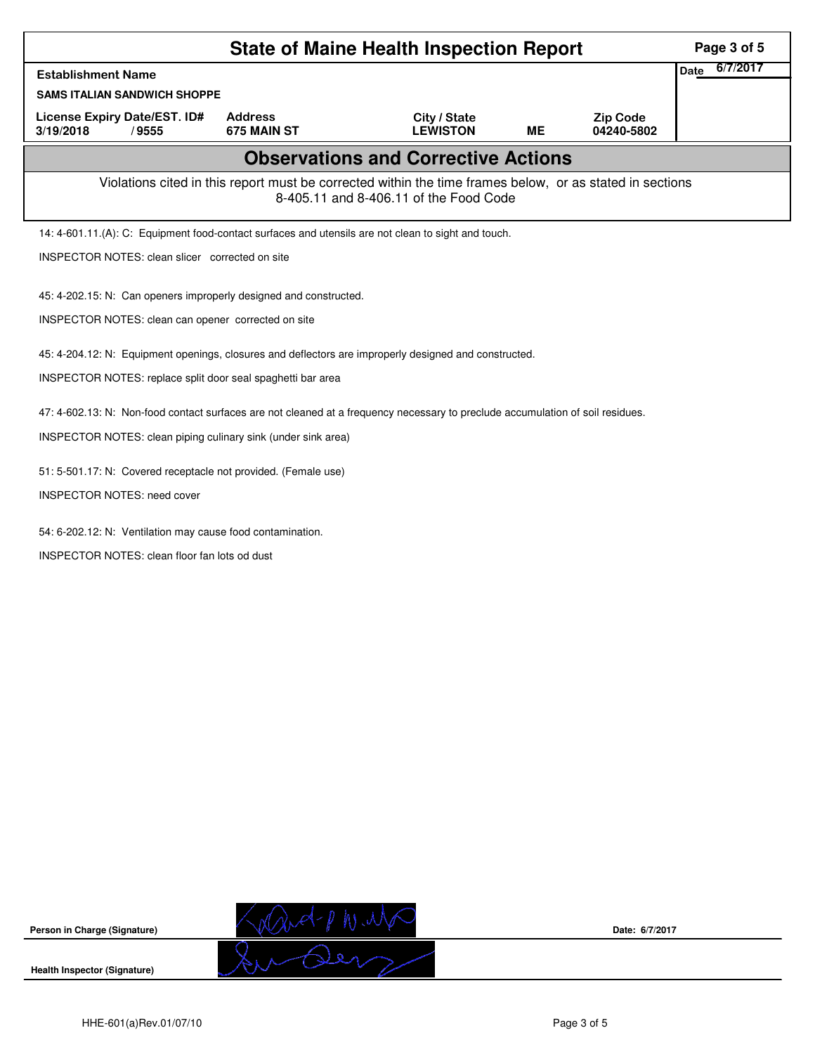|                                                                                                                                |                               | <b>State of Maine Health Inspection Report</b>                                                                                                     |    |                               | Page 3 of 5             |
|--------------------------------------------------------------------------------------------------------------------------------|-------------------------------|----------------------------------------------------------------------------------------------------------------------------------------------------|----|-------------------------------|-------------------------|
| <b>Establishment Name</b>                                                                                                      |                               |                                                                                                                                                    |    |                               | 6/7/2017<br><b>Date</b> |
| <b>SAMS ITALIAN SANDWICH SHOPPE</b>                                                                                            |                               |                                                                                                                                                    |    |                               |                         |
| License Expiry Date/EST. ID#<br>3/19/2018<br>/9555                                                                             | <b>Address</b><br>675 MAIN ST | City / State<br><b>LEWISTON</b>                                                                                                                    | MЕ | <b>Zip Code</b><br>04240-5802 |                         |
|                                                                                                                                |                               | <b>Observations and Corrective Actions</b>                                                                                                         |    |                               |                         |
|                                                                                                                                |                               | Violations cited in this report must be corrected within the time frames below, or as stated in sections<br>8-405.11 and 8-406.11 of the Food Code |    |                               |                         |
| 14: 4-601.11.(A): C: Equipment food-contact surfaces and utensils are not clean to sight and touch.                            |                               |                                                                                                                                                    |    |                               |                         |
| INSPECTOR NOTES: clean slicer corrected on site                                                                                |                               |                                                                                                                                                    |    |                               |                         |
| 45: 4-202.15: N: Can openers improperly designed and constructed.                                                              |                               |                                                                                                                                                    |    |                               |                         |
| INSPECTOR NOTES: clean can opener corrected on site                                                                            |                               |                                                                                                                                                    |    |                               |                         |
| 45: 4-204.12: N: Equipment openings, closures and deflectors are improperly designed and constructed.                          |                               |                                                                                                                                                    |    |                               |                         |
| INSPECTOR NOTES: replace split door seal spaghetti bar area                                                                    |                               |                                                                                                                                                    |    |                               |                         |
| 47: 4-602.13: N: Non-food contact surfaces are not cleaned at a frequency necessary to preclude accumulation of soil residues. |                               |                                                                                                                                                    |    |                               |                         |
| INSPECTOR NOTES: clean piping culinary sink (under sink area)                                                                  |                               |                                                                                                                                                    |    |                               |                         |
| 51: 5-501.17: N: Covered receptacle not provided. (Female use)                                                                 |                               |                                                                                                                                                    |    |                               |                         |
| <b>INSPECTOR NOTES: need cover</b>                                                                                             |                               |                                                                                                                                                    |    |                               |                         |
| 54: 6-202.12: N: Ventilation may cause food contamination.                                                                     |                               |                                                                                                                                                    |    |                               |                         |
| <b>INSPECTOR NOTES: clean floor fan lots od dust</b>                                                                           |                               |                                                                                                                                                    |    |                               |                         |
|                                                                                                                                |                               |                                                                                                                                                    |    |                               |                         |
|                                                                                                                                |                               |                                                                                                                                                    |    |                               |                         |



**Date: 6/7/2017**

**Health Inspector (Signature)**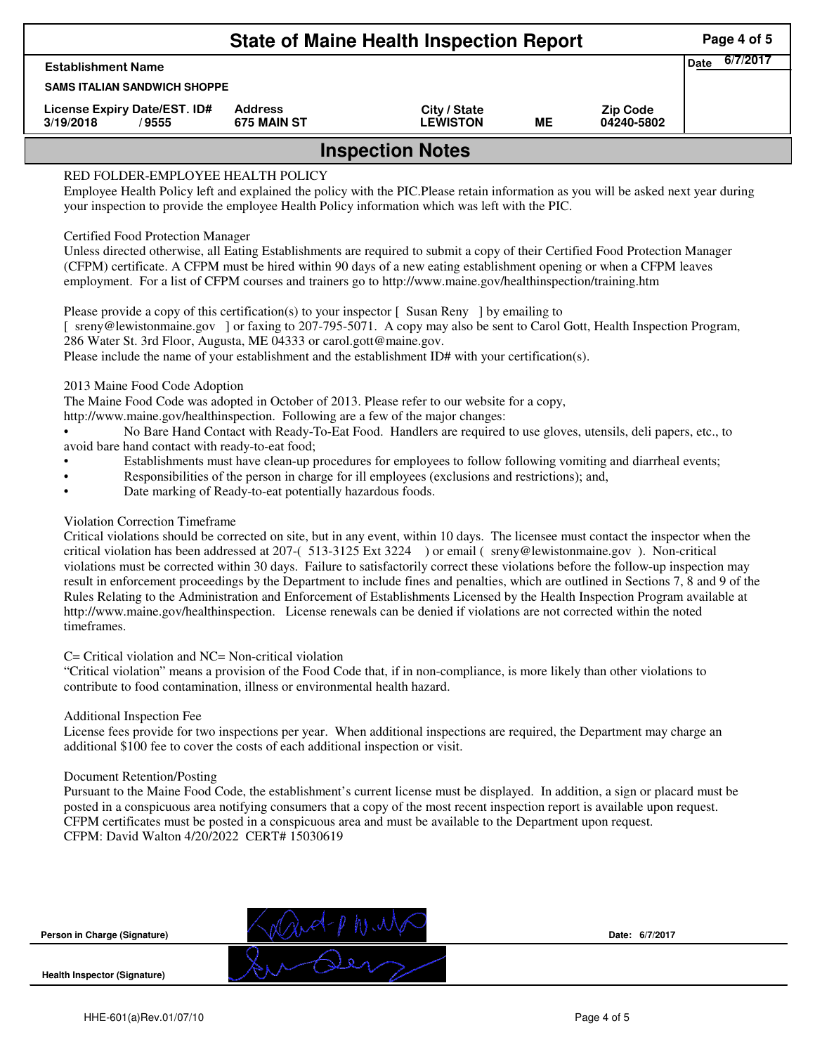|                                                    | <b>State of Maine Health Inspection Report</b> |                                 |    |                               |      | Page 4 of 5 |  |  |  |
|----------------------------------------------------|------------------------------------------------|---------------------------------|----|-------------------------------|------|-------------|--|--|--|
| <b>Establishment Name</b>                          |                                                |                                 |    |                               | Date | 6/7/2017    |  |  |  |
| <b>SAMS ITALIAN SANDWICH SHOPPE</b>                |                                                |                                 |    |                               |      |             |  |  |  |
| License Expiry Date/EST. ID#<br>3/19/2018<br>/9555 | <b>Address</b><br>675 MAIN ST                  | City / State<br><b>LEWISTON</b> | ME | <b>Zip Code</b><br>04240-5802 |      |             |  |  |  |
| <b>Inspection Notes</b>                            |                                                |                                 |    |                               |      |             |  |  |  |

# RED FOLDER-EMPLOYEE HEALTH POLICY

Employee Health Policy left and explained the policy with the PIC.Please retain information as you will be asked next year during your inspection to provide the employee Health Policy information which was left with the PIC.

# Certified Food Protection Manager

Unless directed otherwise, all Eating Establishments are required to submit a copy of their Certified Food Protection Manager (CFPM) certificate. A CFPM must be hired within 90 days of a new eating establishment opening or when a CFPM leaves employment. For a list of CFPM courses and trainers go to http://www.maine.gov/healthinspection/training.htm

Please provide a copy of this certification(s) to your inspector [Susan Reny ] by emailing to [ sreny@lewistonmaine.gov ] or faxing to 207-795-5071. A copy may also be sent to Carol Gott, Health Inspection Program, 286 Water St. 3rd Floor, Augusta, ME 04333 or carol.gott@maine.gov.

Please include the name of your establishment and the establishment ID# with your certification(s).

2013 Maine Food Code Adoption

The Maine Food Code was adopted in October of 2013. Please refer to our website for a copy,

http://www.maine.gov/healthinspection. Following are a few of the major changes:

• No Bare Hand Contact with Ready-To-Eat Food. Handlers are required to use gloves, utensils, deli papers, etc., to avoid bare hand contact with ready-to-eat food;

- Establishments must have clean-up procedures for employees to follow following vomiting and diarrheal events;
- Responsibilities of the person in charge for ill employees (exclusions and restrictions); and,
- Date marking of Ready-to-eat potentially hazardous foods.

# Violation Correction Timeframe

Critical violations should be corrected on site, but in any event, within 10 days. The licensee must contact the inspector when the critical violation has been addressed at 207-( 513-3125 Ext 3224 ) or email ( sreny@lewistonmaine.gov ). Non-critical violations must be corrected within 30 days. Failure to satisfactorily correct these violations before the follow-up inspection may result in enforcement proceedings by the Department to include fines and penalties, which are outlined in Sections 7, 8 and 9 of the Rules Relating to the Administration and Enforcement of Establishments Licensed by the Health Inspection Program available at http://www.maine.gov/healthinspection. License renewals can be denied if violations are not corrected within the noted timeframes.

### C= Critical violation and NC= Non-critical violation

"Critical violation" means a provision of the Food Code that, if in non-compliance, is more likely than other violations to contribute to food contamination, illness or environmental health hazard.

### Additional Inspection Fee

License fees provide for two inspections per year. When additional inspections are required, the Department may charge an additional \$100 fee to cover the costs of each additional inspection or visit.

### Document Retention/Posting

Pursuant to the Maine Food Code, the establishment's current license must be displayed. In addition, a sign or placard must be posted in a conspicuous area notifying consumers that a copy of the most recent inspection report is available upon request. CFPM certificates must be posted in a conspicuous area and must be available to the Department upon request. CFPM: David Walton 4/20/2022 CERT# 15030619